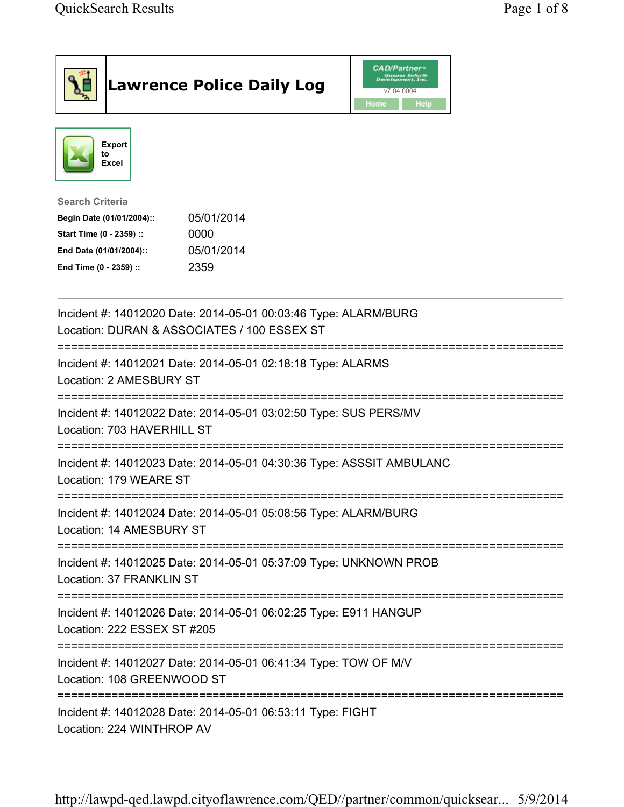| <b>Lawrence Police Daily Log</b>                                                                                                                                                 | <i><b>CAD/Partner</b></i><br>v7.04.0004<br>Home<br>Help |
|----------------------------------------------------------------------------------------------------------------------------------------------------------------------------------|---------------------------------------------------------|
| <b>Export</b><br>to<br>Excel                                                                                                                                                     |                                                         |
| <b>Search Criteria</b><br>05/01/2014<br>Begin Date (01/01/2004)::<br>Start Time (0 - 2359) ::<br>0000<br>05/01/2014<br>End Date (01/01/2004)::<br>2359<br>End Time (0 - 2359) :: |                                                         |
| Incident #: 14012020 Date: 2014-05-01 00:03:46 Type: ALARM/BURG<br>Location: DURAN & ASSOCIATES / 100 ESSEX ST                                                                   |                                                         |
| :=======================<br>Incident #: 14012021 Date: 2014-05-01 02:18:18 Type: ALARMS<br>Location: 2 AMESBURY ST                                                               |                                                         |
| Incident #: 14012022 Date: 2014-05-01 03:02:50 Type: SUS PERS/MV<br>Location: 703 HAVERHILL ST                                                                                   |                                                         |
| Incident #: 14012023 Date: 2014-05-01 04:30:36 Type: ASSSIT AMBULANC<br>Location: 179 WEARE ST                                                                                   |                                                         |
| Incident #: 14012024 Date: 2014-05-01 05:08:56 Type: ALARM/BURG<br>Location: 14 AMESBURY ST                                                                                      |                                                         |
| Incident #: 14012025 Date: 2014-05-01 05:37:09 Type: UNKNOWN PROB<br>Location: 37 FRANKLIN ST                                                                                    |                                                         |
| Incident #: 14012026 Date: 2014-05-01 06:02:25 Type: E911 HANGUP<br>Location: 222 ESSEX ST #205                                                                                  |                                                         |
| Incident #: 14012027 Date: 2014-05-01 06:41:34 Type: TOW OF M/V<br>Location: 108 GREENWOOD ST                                                                                    |                                                         |
| Incident #: 14012028 Date: 2014-05-01 06:53:11 Type: FIGHT<br>Location: 224 WINTHROP AV                                                                                          |                                                         |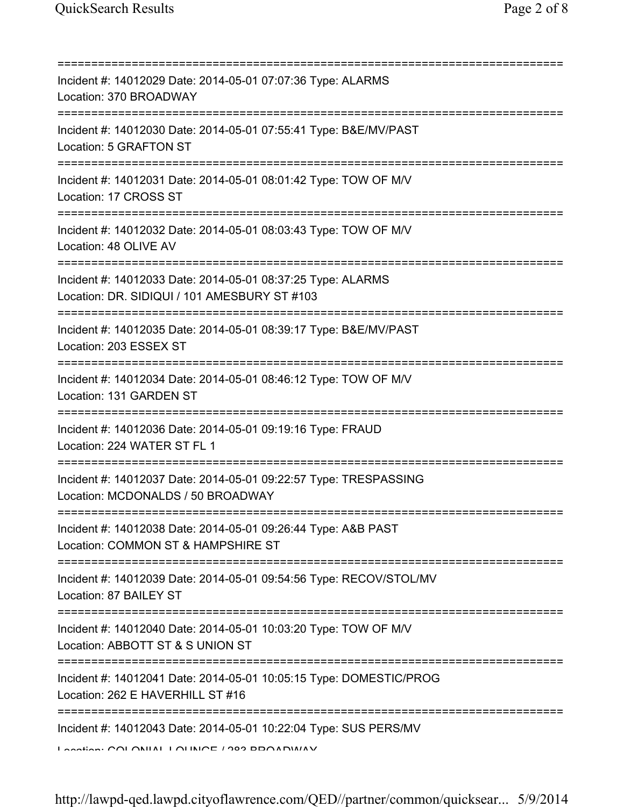| Incident #: 14012029 Date: 2014-05-01 07:07:36 Type: ALARMS<br>Location: 370 BROADWAY                          |
|----------------------------------------------------------------------------------------------------------------|
| Incident #: 14012030 Date: 2014-05-01 07:55:41 Type: B&E/MV/PAST<br>Location: 5 GRAFTON ST                     |
| Incident #: 14012031 Date: 2014-05-01 08:01:42 Type: TOW OF M/V<br>Location: 17 CROSS ST                       |
| Incident #: 14012032 Date: 2014-05-01 08:03:43 Type: TOW OF M/V<br>Location: 48 OLIVE AV                       |
| Incident #: 14012033 Date: 2014-05-01 08:37:25 Type: ALARMS<br>Location: DR. SIDIQUI / 101 AMESBURY ST #103    |
| Incident #: 14012035 Date: 2014-05-01 08:39:17 Type: B&E/MV/PAST<br>Location: 203 ESSEX ST                     |
| Incident #: 14012034 Date: 2014-05-01 08:46:12 Type: TOW OF M/V<br>Location: 131 GARDEN ST                     |
| Incident #: 14012036 Date: 2014-05-01 09:19:16 Type: FRAUD<br>Location: 224 WATER ST FL 1                      |
| Incident #: 14012037 Date: 2014-05-01 09:22:57 Type: TRESPASSING<br>Location: MCDONALDS / 50 BROADWAY          |
| Incident #: 14012038 Date: 2014-05-01 09:26:44 Type: A&B PAST<br>Location: COMMON ST & HAMPSHIRE ST            |
| Incident #: 14012039 Date: 2014-05-01 09:54:56 Type: RECOV/STOL/MV<br>Location: 87 BAILEY ST                   |
| Incident #: 14012040 Date: 2014-05-01 10:03:20 Type: TOW OF M/V<br>Location: ABBOTT ST & S UNION ST            |
| Incident #: 14012041 Date: 2014-05-01 10:05:15 Type: DOMESTIC/PROG<br>Location: 262 E HAVERHILL ST #16         |
| Incident #: 14012043 Date: 2014-05-01 10:22:04 Type: SUS PERS/MV<br>Lootion: COLONIIAL LOLINICE / 202 BDOADMAV |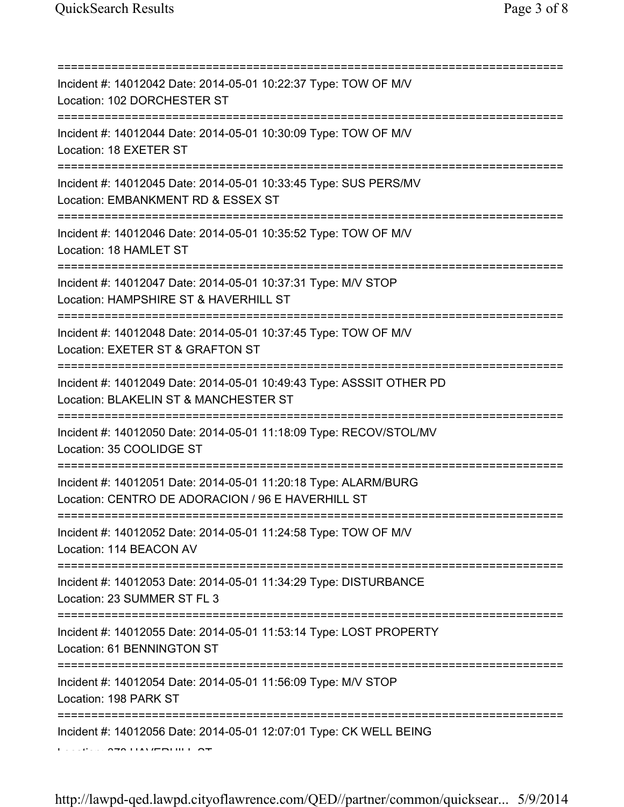| Incident #: 14012042 Date: 2014-05-01 10:22:37 Type: TOW OF M/V<br>Location: 102 DORCHESTER ST                                             |
|--------------------------------------------------------------------------------------------------------------------------------------------|
| Incident #: 14012044 Date: 2014-05-01 10:30:09 Type: TOW OF M/V<br>Location: 18 EXETER ST                                                  |
| Incident #: 14012045 Date: 2014-05-01 10:33:45 Type: SUS PERS/MV<br>Location: EMBANKMENT RD & ESSEX ST                                     |
| =====================================<br>Incident #: 14012046 Date: 2014-05-01 10:35:52 Type: TOW OF M/V<br>Location: 18 HAMLET ST         |
| ================================<br>Incident #: 14012047 Date: 2014-05-01 10:37:31 Type: M/V STOP<br>Location: HAMPSHIRE ST & HAVERHILL ST |
| ========================<br>Incident #: 14012048 Date: 2014-05-01 10:37:45 Type: TOW OF M/V<br>Location: EXETER ST & GRAFTON ST            |
| Incident #: 14012049 Date: 2014-05-01 10:49:43 Type: ASSSIT OTHER PD<br>Location: BLAKELIN ST & MANCHESTER ST                              |
| Incident #: 14012050 Date: 2014-05-01 11:18:09 Type: RECOV/STOL/MV<br>Location: 35 COOLIDGE ST                                             |
| Incident #: 14012051 Date: 2014-05-01 11:20:18 Type: ALARM/BURG<br>Location: CENTRO DE ADORACION / 96 E HAVERHILL ST                       |
| Incident #: 14012052 Date: 2014-05-01 11:24:58 Type: TOW OF M/V<br>Location: 114 BEACON AV                                                 |
| :===================================<br>Incident #: 14012053 Date: 2014-05-01 11:34:29 Type: DISTURBANCE<br>Location: 23 SUMMER ST FL 3    |
| Incident #: 14012055 Date: 2014-05-01 11:53:14 Type: LOST PROPERTY<br>Location: 61 BENNINGTON ST                                           |
| Incident #: 14012054 Date: 2014-05-01 11:56:09 Type: M/V STOP<br>Location: 198 PARK ST                                                     |
| Incident #: 14012056 Date: 2014-05-01 12:07:01 Type: CK WELL BEING                                                                         |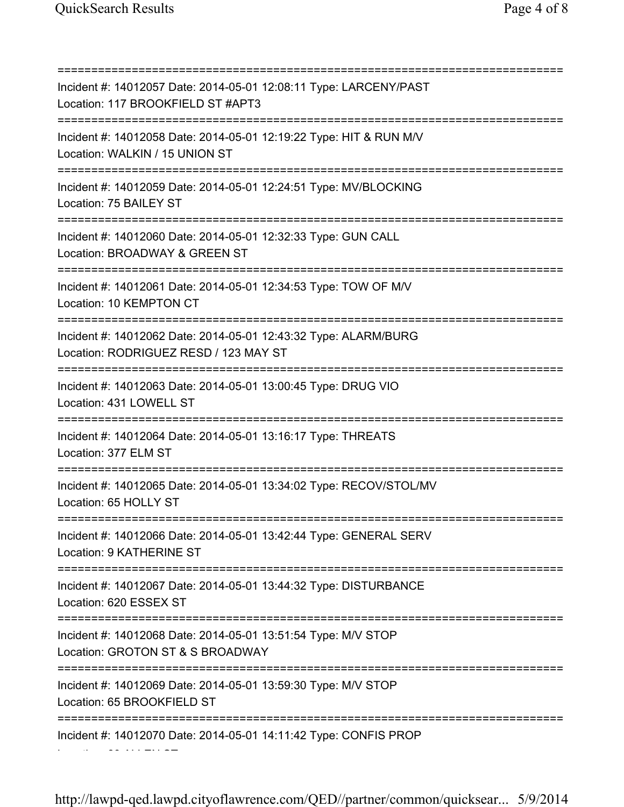Location: 60 ALLEN ST

=========================================================================== Incident #: 14012057 Date: 2014-05-01 12:08:11 Type: LARCENY/PAST Location: 117 BROOKFIELD ST #APT3 =========================================================================== Incident #: 14012058 Date: 2014-05-01 12:19:22 Type: HIT & RUN M/V Location: WALKIN / 15 UNION ST =========================================================================== Incident #: 14012059 Date: 2014-05-01 12:24:51 Type: MV/BLOCKING Location: 75 BAILEY ST =========================================================================== Incident #: 14012060 Date: 2014-05-01 12:32:33 Type: GUN CALL Location: BROADWAY & GREEN ST =========================================================================== Incident #: 14012061 Date: 2014-05-01 12:34:53 Type: TOW OF M/V Location: 10 KEMPTON CT =========================================================================== Incident #: 14012062 Date: 2014-05-01 12:43:32 Type: ALARM/BURG Location: RODRIGUEZ RESD / 123 MAY ST =========================================================================== Incident #: 14012063 Date: 2014-05-01 13:00:45 Type: DRUG VIO Location: 431 LOWELL ST =========================================================================== Incident #: 14012064 Date: 2014-05-01 13:16:17 Type: THREATS Location: 377 ELM ST =========================================================================== Incident #: 14012065 Date: 2014-05-01 13:34:02 Type: RECOV/STOL/MV Location: 65 HOLLY ST =========================================================================== Incident #: 14012066 Date: 2014-05-01 13:42:44 Type: GENERAL SERV Location: 9 KATHERINE ST =========================================================================== Incident #: 14012067 Date: 2014-05-01 13:44:32 Type: DISTURBANCE Location: 620 ESSEX ST =========================================================================== Incident #: 14012068 Date: 2014-05-01 13:51:54 Type: M/V STOP Location: GROTON ST & S BROADWAY =========================================================================== Incident #: 14012069 Date: 2014-05-01 13:59:30 Type: M/V STOP Location: 65 BROOKFIELD ST =========================================================================== Incident #: 14012070 Date: 2014-05-01 14:11:42 Type: CONFIS PROP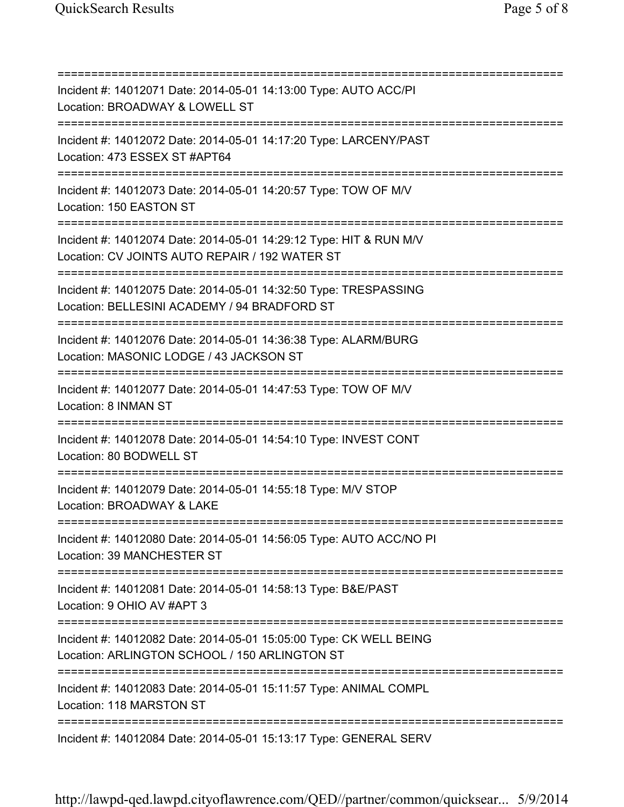=========================================================================== Incident #: 14012071 Date: 2014-05-01 14:13:00 Type: AUTO ACC/PI Location: BROADWAY & LOWELL ST =========================================================================== Incident #: 14012072 Date: 2014-05-01 14:17:20 Type: LARCENY/PAST Location: 473 ESSEX ST #APT64 =========================================================================== Incident #: 14012073 Date: 2014-05-01 14:20:57 Type: TOW OF M/V Location: 150 EASTON ST =========================================================================== Incident #: 14012074 Date: 2014-05-01 14:29:12 Type: HIT & RUN M/V Location: CV JOINTS AUTO REPAIR / 192 WATER ST =========================================================================== Incident #: 14012075 Date: 2014-05-01 14:32:50 Type: TRESPASSING Location: BELLESINI ACADEMY / 94 BRADFORD ST =========================================================================== Incident #: 14012076 Date: 2014-05-01 14:36:38 Type: ALARM/BURG Location: MASONIC LODGE / 43 JACKSON ST =========================================================================== Incident #: 14012077 Date: 2014-05-01 14:47:53 Type: TOW OF M/V Location: 8 INMAN ST =========================================================================== Incident #: 14012078 Date: 2014-05-01 14:54:10 Type: INVEST CONT Location: 80 BODWELL ST =========================================================================== Incident #: 14012079 Date: 2014-05-01 14:55:18 Type: M/V STOP Location: BROADWAY & LAKE =========================================================================== Incident #: 14012080 Date: 2014-05-01 14:56:05 Type: AUTO ACC/NO PI Location: 39 MANCHESTER ST =========================================================================== Incident #: 14012081 Date: 2014-05-01 14:58:13 Type: B&E/PAST Location: 9 OHIO AV #APT 3 =========================================================================== Incident #: 14012082 Date: 2014-05-01 15:05:00 Type: CK WELL BEING Location: ARLINGTON SCHOOL / 150 ARLINGTON ST =========================================================================== Incident #: 14012083 Date: 2014-05-01 15:11:57 Type: ANIMAL COMPL Location: 118 MARSTON ST =========================================================================== Incident #: 14012084 Date: 2014-05-01 15:13:17 Type: GENERAL SERV

http://lawpd-qed.lawpd.cityoflawrence.com/QED//partner/common/quicksear... 5/9/2014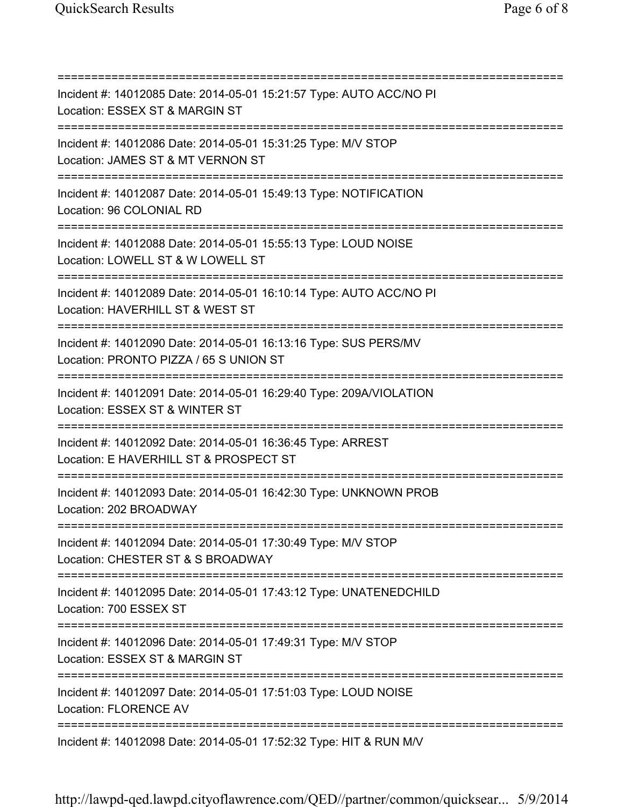=========================================================================== Incident #: 14012085 Date: 2014-05-01 15:21:57 Type: AUTO ACC/NO PI Location: ESSEX ST & MARGIN ST =========================================================================== Incident #: 14012086 Date: 2014-05-01 15:31:25 Type: M/V STOP Location: JAMES ST & MT VERNON ST =========================================================================== Incident #: 14012087 Date: 2014-05-01 15:49:13 Type: NOTIFICATION Location: 96 COLONIAL RD =========================================================================== Incident #: 14012088 Date: 2014-05-01 15:55:13 Type: LOUD NOISE Location: LOWELL ST & W LOWELL ST =========================================================================== Incident #: 14012089 Date: 2014-05-01 16:10:14 Type: AUTO ACC/NO PI Location: HAVERHILL ST & WEST ST =========================================================================== Incident #: 14012090 Date: 2014-05-01 16:13:16 Type: SUS PERS/MV Location: PRONTO PIZZA / 65 S UNION ST =========================================================================== Incident #: 14012091 Date: 2014-05-01 16:29:40 Type: 209A/VIOLATION Location: ESSEX ST & WINTER ST =========================================================================== Incident #: 14012092 Date: 2014-05-01 16:36:45 Type: ARREST Location: E HAVERHILL ST & PROSPECT ST =========================================================================== Incident #: 14012093 Date: 2014-05-01 16:42:30 Type: UNKNOWN PROB Location: 202 BROADWAY =========================================================================== Incident #: 14012094 Date: 2014-05-01 17:30:49 Type: M/V STOP Location: CHESTER ST & S BROADWAY =========================================================================== Incident #: 14012095 Date: 2014-05-01 17:43:12 Type: UNATENEDCHILD Location: 700 ESSEX ST =========================================================================== Incident #: 14012096 Date: 2014-05-01 17:49:31 Type: M/V STOP Location: ESSEX ST & MARGIN ST =========================================================================== Incident #: 14012097 Date: 2014-05-01 17:51:03 Type: LOUD NOISE Location: FLORENCE AV =========================================================================== Incident #: 14012098 Date: 2014-05-01 17:52:32 Type: HIT & RUN M/V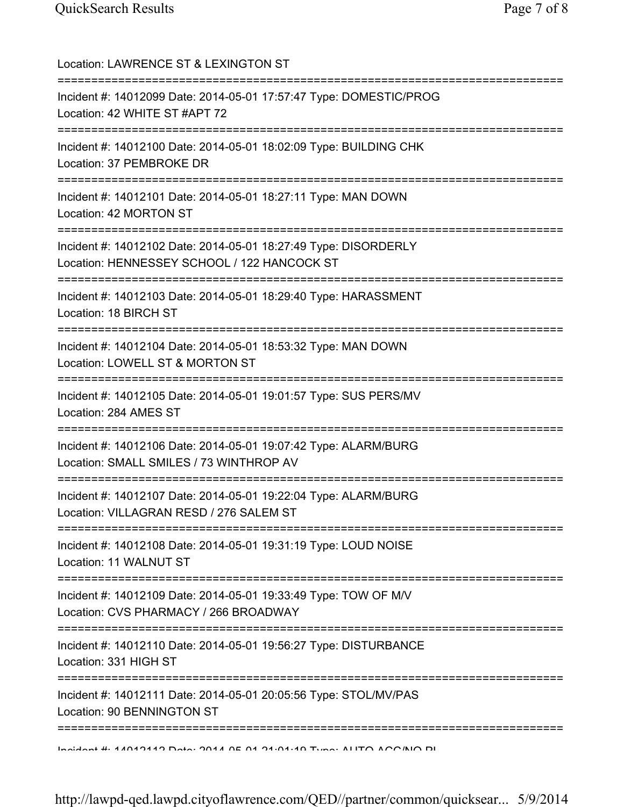| Location: LAWRENCE ST & LEXINGTON ST<br>=================================                                                             |
|---------------------------------------------------------------------------------------------------------------------------------------|
| Incident #: 14012099 Date: 2014-05-01 17:57:47 Type: DOMESTIC/PROG<br>Location: 42 WHITE ST #APT 72<br>====================           |
| Incident #: 14012100 Date: 2014-05-01 18:02:09 Type: BUILDING CHK<br>Location: 37 PEMBROKE DR                                         |
| Incident #: 14012101 Date: 2014-05-01 18:27:11 Type: MAN DOWN<br>Location: 42 MORTON ST<br>================================           |
| Incident #: 14012102 Date: 2014-05-01 18:27:49 Type: DISORDERLY<br>Location: HENNESSEY SCHOOL / 122 HANCOCK ST                        |
| Incident #: 14012103 Date: 2014-05-01 18:29:40 Type: HARASSMENT<br>Location: 18 BIRCH ST<br>===========================               |
| Incident #: 14012104 Date: 2014-05-01 18:53:32 Type: MAN DOWN<br>Location: LOWELL ST & MORTON ST                                      |
| Incident #: 14012105 Date: 2014-05-01 19:01:57 Type: SUS PERS/MV<br>Location: 284 AMES ST                                             |
| Incident #: 14012106 Date: 2014-05-01 19:07:42 Type: ALARM/BURG<br>Location: SMALL SMILES / 73 WINTHROP AV                            |
| Incident #: 14012107 Date: 2014-05-01 19:22:04 Type: ALARM/BURG<br>Location: VILLAGRAN RESD / 276 SALEM ST                            |
| Incident #: 14012108 Date: 2014-05-01 19:31:19 Type: LOUD NOISE<br>Location: 11 WALNUT ST                                             |
| =========================<br>Incident #: 14012109 Date: 2014-05-01 19:33:49 Type: TOW OF M/V<br>Location: CVS PHARMACY / 266 BROADWAY |
| Incident #: 14012110 Date: 2014-05-01 19:56:27 Type: DISTURBANCE<br>Location: 331 HIGH ST                                             |
| Incident #: 14012111 Date: 2014-05-01 20:05:56 Type: STOL/MV/PAS<br>Location: 90 BENNINGTON ST                                        |
| <u>Indident # AANANAN Deta: 004 A DE NA DA:04:40 Tuna: ALITO AOO/NIO DI</u>                                                           |